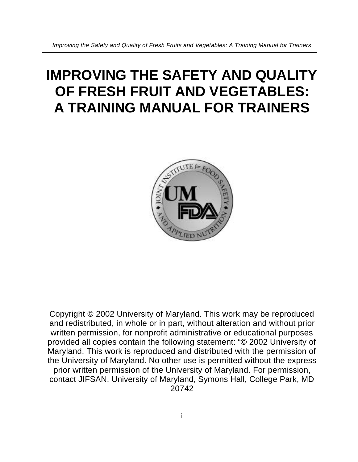# **IMPROVING THE SAFETY AND QUALITY OF FRESH FRUIT AND VEGETABLES: A TRAINING MANUAL FOR TRAINERS**



Copyright © 2002 University of Maryland. This work may be reproduced and redistributed, in whole or in part, without alteration and without prior written permission, for nonprofit administrative or educational purposes provided all copies contain the following statement: "© 2002 University of Maryland. This work is reproduced and distributed with the permission of the University of Maryland. No other use is permitted without the express prior written permission of the University of Maryland. For permission, contact JIFSAN, University of Maryland, Symons Hall, College Park, MD 20742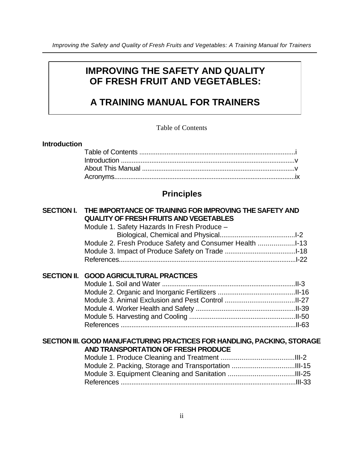## **IMPROVING THE SAFETY AND QUALITY OF FRESH FRUIT AND VEGETABLES:**

# **A TRAINING MANUAL FOR TRAINERS**

#### Table of Contents

#### **Introduction**

## **Principles**

| SECTION I. THE IMPORTANCE OF TRAINING FOR IMPROVING THE SAFETY AND<br><b>QUALITY OF FRESH FRUITS AND VEGETABLES</b> |  |
|---------------------------------------------------------------------------------------------------------------------|--|
| Module 1. Safety Hazards In Fresh Produce -                                                                         |  |
| Module 2. Fresh Produce Safety and Consumer Health 1-13                                                             |  |
|                                                                                                                     |  |
|                                                                                                                     |  |
| SECTION II. GOOD AGRICULTURAL PRACTICES                                                                             |  |
|                                                                                                                     |  |
|                                                                                                                     |  |
|                                                                                                                     |  |
|                                                                                                                     |  |
|                                                                                                                     |  |
|                                                                                                                     |  |

### **SECTION III. GOOD MANUFACTURING PRACTICES FOR HANDLING, PACKING, STORAGE AND TRANSPORTATION OF FRESH PRODUCE**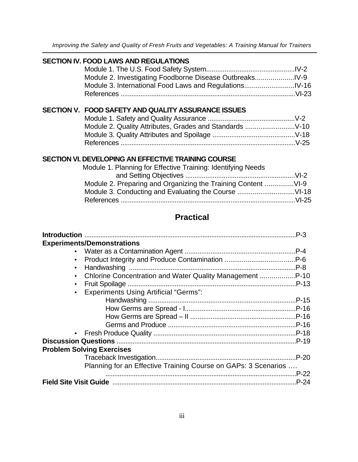*Improving the Safety and Quality of Fresh Fruits and Vegetables: A Training Manual for Trainers*

#### **SECTION IV. FOOD LAWS AND REGULATIONS**

| Module 2. Investigating Foodborne Disease Outbreaks |  |
|-----------------------------------------------------|--|
|                                                     |  |
|                                                     |  |

### **SECTION V. FOOD SAFETY AND QUALITY ASSURANCE ISSUES**

### **SECTION VI. DEVELOPING AN EFFECTIVE TRAINING COURSE**

| Module 1. Planning for Effective Training: Identifying Needs |  |
|--------------------------------------------------------------|--|
|                                                              |  |
|                                                              |  |
|                                                              |  |
|                                                              |  |
|                                                              |  |

## **Practical**

| <b>Experiments/Demonstrations</b>                              |       |
|----------------------------------------------------------------|-------|
|                                                                |       |
| $\bullet$ .                                                    |       |
|                                                                |       |
| • Chlorine Concentration and Water Quality Management P-10     |       |
| $\bullet$                                                      |       |
| · Experiments Using Artificial "Germs":                        |       |
|                                                                |       |
|                                                                |       |
|                                                                |       |
|                                                                |       |
|                                                                |       |
|                                                                |       |
| <b>Problem Solving Exercises</b>                               |       |
|                                                                |       |
| Planning for an Effective Training Course on GAPs: 3 Scenarios |       |
|                                                                | P-22. |
|                                                                |       |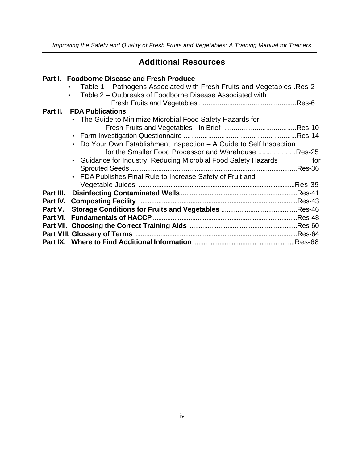## **Additional Resources**

## **Part I. Foodborne Disease and Fresh Produce**

|          | Table 1 – Pathogens Associated with Fresh Fruits and Vegetables . Res-2<br>Table 2 – Outbreaks of Foodborne Disease Associated with |         |
|----------|-------------------------------------------------------------------------------------------------------------------------------------|---------|
|          |                                                                                                                                     |         |
| Part II. | <b>FDA Publications</b>                                                                                                             |         |
|          | • The Guide to Minimize Microbial Food Safety Hazards for                                                                           |         |
|          |                                                                                                                                     |         |
|          |                                                                                                                                     |         |
|          | Do Your Own Establishment Inspection - A Guide to Self Inspection                                                                   |         |
|          | for the Smaller Food Processor and Warehouse Res-25                                                                                 |         |
|          | • Guidance for Industry: Reducing Microbial Food Safety Hazards                                                                     | for     |
|          |                                                                                                                                     |         |
|          | • FDA Publishes Final Rule to Increase Safety of Fruit and                                                                          |         |
|          |                                                                                                                                     | Res-39. |
|          |                                                                                                                                     |         |
|          |                                                                                                                                     |         |
|          |                                                                                                                                     |         |
|          |                                                                                                                                     |         |
|          |                                                                                                                                     |         |
|          |                                                                                                                                     |         |
|          |                                                                                                                                     | Res-68. |
|          |                                                                                                                                     |         |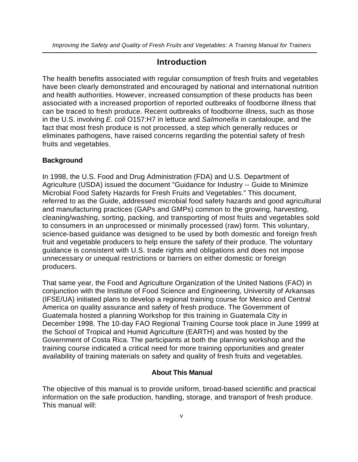## **Introduction**

The health benefits associated with regular consumption of fresh fruits and vegetables have been clearly demonstrated and encouraged by national and international nutrition and health authorities. However, increased consumption of these products has been associated with a increased proportion of reported outbreaks of foodborne illness that can be traced to fresh produce. Recent outbreaks of foodborne illness, such as those in the U.S. involving *E. coli* O157:H7 in lettuce and *Salmonella* in cantaloupe, and the fact that most fresh produce is not processed, a step which generally reduces or eliminates pathogens, have raised concerns regarding the potential safety of fresh fruits and vegetables.

#### **Background**

In 1998, the U.S. Food and Drug Administration (FDA) and U.S. Department of Agriculture (USDA) issued the document "Guidance for Industry -- Guide to Minimize Microbial Food Safety Hazards for Fresh Fruits and Vegetables." This document, referred to as the Guide, addressed microbial food safety hazards and good agricultural and manufacturing practices (GAPs and GMPs) common to the growing, harvesting, cleaning/washing, sorting, packing, and transporting of most fruits and vegetables sold to consumers in an unprocessed or minimally processed (raw) form. This voluntary, science-based guidance was designed to be used by both domestic and foreign fresh fruit and vegetable producers to help ensure the safety of their produce. The voluntary guidance is consistent with U.S. trade rights and obligations and does not impose unnecessary or unequal restrictions or barriers on either domestic or foreign producers.

That same year, the Food and Agriculture Organization of the United Nations (FAO) in conjunction with the Institute of Food Science and Engineering, University of Arkansas (IFSE/UA) initiated plans to develop a regional training course for Mexico and Central America on quality assurance and safety of fresh produce. The Government of Guatemala hosted a planning Workshop for this training in Guatemala City in December 1998. The 10-day FAO Regional Training Course took place in June 1999 at the School of Tropical and Humid Agriculture (EARTH) and was hosted by the Government of Costa Rica. The participants at both the planning workshop and the training course indicated a critical need for more training opportunities and greater availability of training materials on safety and quality of fresh fruits and vegetables.

#### **About This Manual**

The objective of this manual is to provide uniform, broad-based scientific and practical information on the safe production, handling, storage, and transport of fresh produce. This manual will: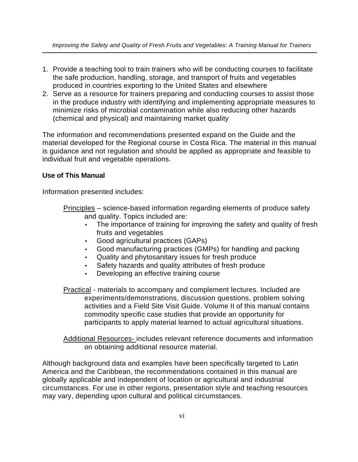- 1. Provide a teaching tool to train trainers who will be conducting courses to facilitate the safe production, handling, storage, and transport of fruits and vegetables produced in countries exporting to the United States and elsewhere
- 2. Serve as a resource for trainers preparing and conducting courses to assist those in the produce industry with identifying and implementing appropriate measures to minimize risks of microbial contamination while also reducing other hazards (chemical and physical) and maintaining market quality

The information and recommendations presented expand on the Guide and the material developed for the Regional course in Costa Rica. The material in this manual is guidance and not regulation and should be applied as appropriate and feasible to individual fruit and vegetable operations.

#### **Use of This Manual**

Information presented includes:

- Principles science-based information regarding elements of produce safety and quality. Topics included are:
	- The importance of training for improving the safety and quality of fresh fruits and vegetables
	- Good agricultural practices (GAPs)
	- Good manufacturing practices (GMPs) for handling and packing
	- Quality and phytosanitary issues for fresh produce
	- Safety hazards and quality attributes of fresh produce
	- Developing an effective training course
- **Practical** materials to accompany and complement lectures. Included are experiments/demonstrations, discussion questions, problem solving activities and a Field Site Visit Guide. Volume II of this manual contains commodity specific case studies that provide an opportunity for participants to apply material learned to actual agricultural situations.

Additional Resources- includes relevant reference documents and information on obtaining additional resource material.

Although background data and examples have been specifically targeted to Latin America and the Caribbean, the recommendations contained in this manual are globally applicable and independent of location or agricultural and industrial circumstances. For use in other regions, presentation style and teaching resources may vary, depending upon cultural and political circumstances.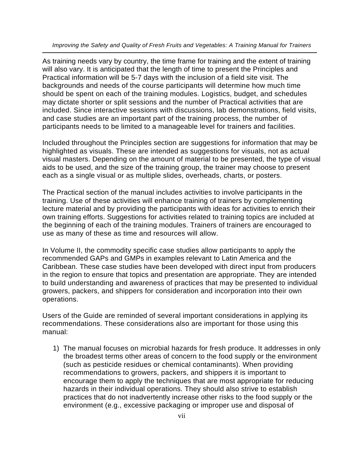*Improving the Safety and Quality of Fresh Fruits and Vegetables: A Training Manual for Trainers*

As training needs vary by country, the time frame for training and the extent of training will also vary. It is anticipated that the length of time to present the Principles and Practical information will be 5-7 days with the inclusion of a field site visit. The backgrounds and needs of the course participants will determine how much time should be spent on each of the training modules. Logistics, budget, and schedules may dictate shorter or split sessions and the number of Practical activities that are included. Since interactive sessions with discussions, lab demonstrations, field visits, and case studies are an important part of the training process, the number of participants needs to be limited to a manageable level for trainers and facilities.

Included throughout the Principles section are suggestions for information that may be highlighted as visuals. These are intended as suggestions for visuals, not as actual visual masters. Depending on the amount of material to be presented, the type of visual aids to be used, and the size of the training group, the trainer may choose to present each as a single visual or as multiple slides, overheads, charts, or posters.

The Practical section of the manual includes activities to involve participants in the training. Use of these activities will enhance training of trainers by complementing lecture material and by providing the participants with ideas for activities to enrich their own training efforts. Suggestions for activities related to training topics are included at the beginning of each of the training modules. Trainers of trainers are encouraged to use as many of these as time and resources will allow.

In Volume II, the commodity specific case studies allow participants to apply the recommended GAPs and GMPs in examples relevant to Latin America and the Caribbean. These case studies have been developed with direct input from producers in the region to ensure that topics and presentation are appropriate. They are intended to build understanding and awareness of practices that may be presented to individual growers, packers, and shippers for consideration and incorporation into their own operations.

Users of the Guide are reminded of several important considerations in applying its recommendations. These considerations also are important for those using this manual:

1) The manual focuses on microbial hazards for fresh produce. It addresses in only the broadest terms other areas of concern to the food supply or the environment (such as pesticide residues or chemical contaminants). When providing recommendations to growers, packers, and shippers it is important to encourage them to apply the techniques that are most appropriate for reducing hazards in their individual operations. They should also strive to establish practices that do not inadvertently increase other risks to the food supply or the environment (e.g., excessive packaging or improper use and disposal of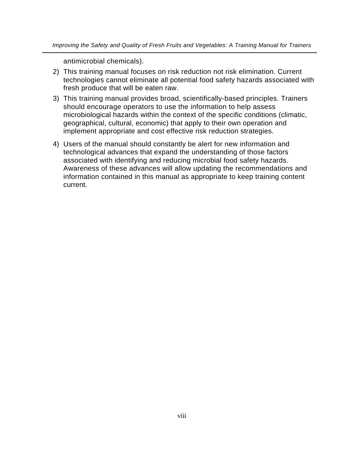antimicrobial chemicals).

- 2) This training manual focuses on risk reduction not risk elimination. Current technologies cannot eliminate all potential food safety hazards associated with fresh produce that will be eaten raw.
- 3) This training manual provides broad, scientifically-based principles. Trainers should encourage operators to use the information to help assess microbiological hazards within the context of the specific conditions (climatic, geographical, cultural, economic) that apply to their own operation and implement appropriate and cost effective risk reduction strategies.
- 4) Users of the manual should constantly be alert for new information and technological advances that expand the understanding of those factors associated with identifying and reducing microbial food safety hazards. Awareness of these advances will allow updating the recommendations and information contained in this manual as appropriate to keep training content current.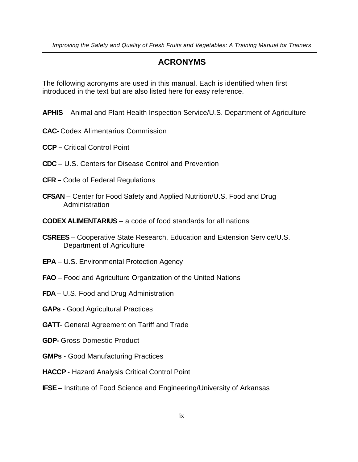## **ACRONYMS**

The following acronyms are used in this manual. Each is identified when first introduced in the text but are also listed here for easy reference.

- **APHIS**  Animal and Plant Health Inspection Service/U.S. Department of Agriculture
- **CAC-** Codex Alimentarius Commission
- **CCP** Critical Control Point
- **CDC** U.S. Centers for Disease Control and Prevention
- **CFR –** Code of Federal Regulations
- **CFSAN** Center for Food Safety and Applied Nutrition/U.S. Food and Drug Administration
- **CODEX ALIMENTARIUS** a code of food standards for all nations
- **CSREES**  Cooperative State Research, Education and Extension Service/U.S. Department of Agriculture
- **EPA** U.S. Environmental Protection Agency
- **FAO** Food and Agriculture Organization of the United Nations
- **FDA**  U.S. Food and Drug Administration
- **GAPs** Good Agricultural Practices
- **GATT** General Agreement on Tariff and Trade
- **GDP-** Gross Domestic Product
- **GMPs** Good Manufacturing Practices
- **HACCP**  Hazard Analysis Critical Control Point
- **IFSE** Institute of Food Science and Engineering/University of Arkansas